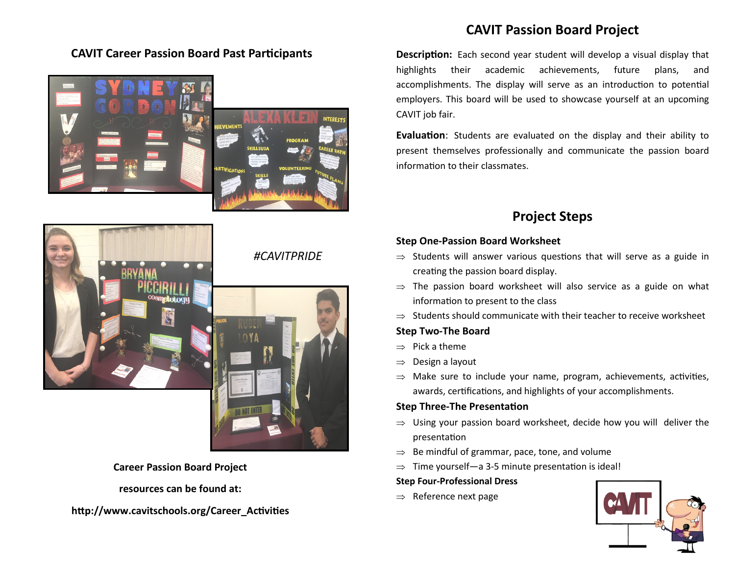## **CAVIT Career Passion Board Past Participants**



## #CAVITPRIDE



Career Passion Board Project

resources can be found at:

http://www.cavitschools.org/Career Activities

# CAVIT Passion Board Project

Description: Each second year student will develop a visual display that highlights their academic achievements, future plans, and accomplishments. The display will serve as an introduction to potential employers. This board will be used to showcase yourself at an upcoming CAVIT job fair.

**Evaluation:** Students are evaluated on the display and their ability to present themselves professionally and communicate the passion board information to their classmates.

# Project Steps

## Step One-Passion Board Worksheet

- $\Rightarrow$  Students will answer various questions that will serve as a guide in creating the passion board display.
- ⇒ The passion board worksheet will also service as a guide on what information to present to the class
- ⇒ Students should communicate with their teacher to receive worksheet

## Step Two-The Board

- $\Rightarrow$  Pick a theme
- ⇒Design a layout
- $\Rightarrow$  Make sure to include your name, program, achievements, activities, awards, certifications, and highlights of your accomplishments.

## **Step Three-The Presentation**

- ⇒ Using your passion board worksheet, decide how you will deliver the presentation
- ⇒ Be mindful of grammar, pace, tone, and volume
- ⇒ Time yourself—a 3-5 minute presentation is ideal!<br>●

## Step Four-Professional Dress

⇒ Reference next page